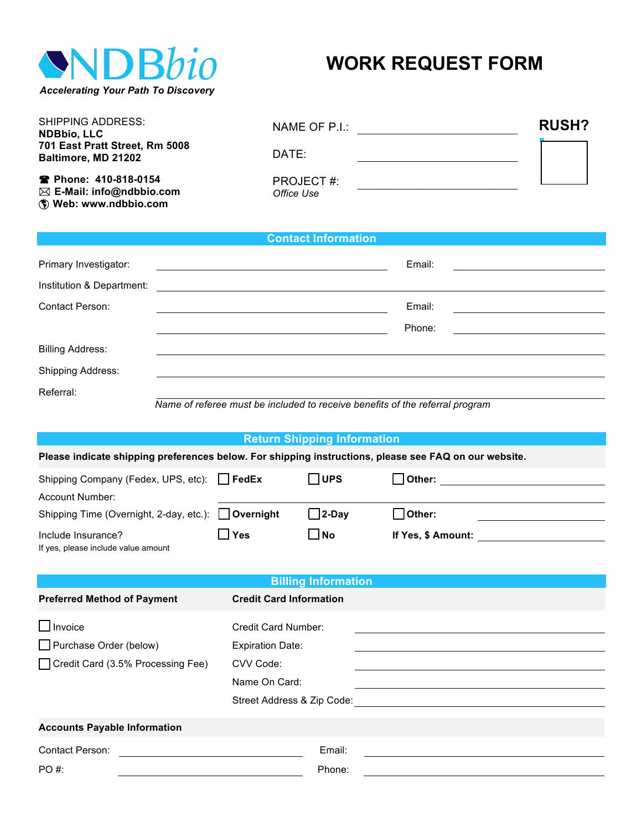

# **WORK REQUEST FORM**

| <b>SHIPPING ADDRESS:</b><br><b>NDBbio, LLC</b>                                             | NAME OF P.I.:           | <b>RUSH?</b> |  |
|--------------------------------------------------------------------------------------------|-------------------------|--------------|--|
| 701 East Pratt Street, Rm 5008<br>Baltimore, MD 21202                                      | DATE:                   |              |  |
| <b>■ Phone: 410-818-0154</b><br>$\boxtimes$ E-Mail: info@ndbbio.com<br>Web: www.ndbbio.com | PROJECT#:<br>Office Use |              |  |

### **Contact Information**

| Primary Investigator:     | Email: |  |
|---------------------------|--------|--|
| Institution & Department: |        |  |
| <b>Contact Person:</b>    | Email: |  |
|                           | Phone: |  |
| <b>Billing Address:</b>   |        |  |
| Shipping Address:         |        |  |
| Referral:                 |        |  |

 *Name of referee must be included to receive benefits of the referral program*

# **Return Shipping Information**

**Please indicate shipping preferences below. For shipping instructions, please see FAQ on our website.**

| Shipping Company (Fedex, UPS, etc): FedEx           |       | <b>IUPS</b> | Other:             |
|-----------------------------------------------------|-------|-------------|--------------------|
| Account Number:                                     |       |             |                    |
| Shipping Time (Overnight, 2-day, etc.): □ Overnight |       | l l2-Dav    | Other:             |
| Include Insurance?                                  | l Yes | <b>No</b>   | If Yes, \$ Amount: |
| If yes, please include value amount                 |       |             |                    |

| <b>Billing Information</b>                                                    |                                                                                                            |  |  |
|-------------------------------------------------------------------------------|------------------------------------------------------------------------------------------------------------|--|--|
| <b>Preferred Method of Payment</b>                                            | <b>Credit Card Information</b>                                                                             |  |  |
| $\Box$ Invoice<br>Purchase Order (below)<br>Credit Card (3.5% Processing Fee) | Credit Card Number:<br><b>Expiration Date:</b><br>CVV Code:<br>Name On Card:<br>Street Address & Zip Code: |  |  |
| <b>Accounts Payable Information</b>                                           |                                                                                                            |  |  |
| Contact Person:                                                               | Email:                                                                                                     |  |  |
| PO #:                                                                         | Phone:                                                                                                     |  |  |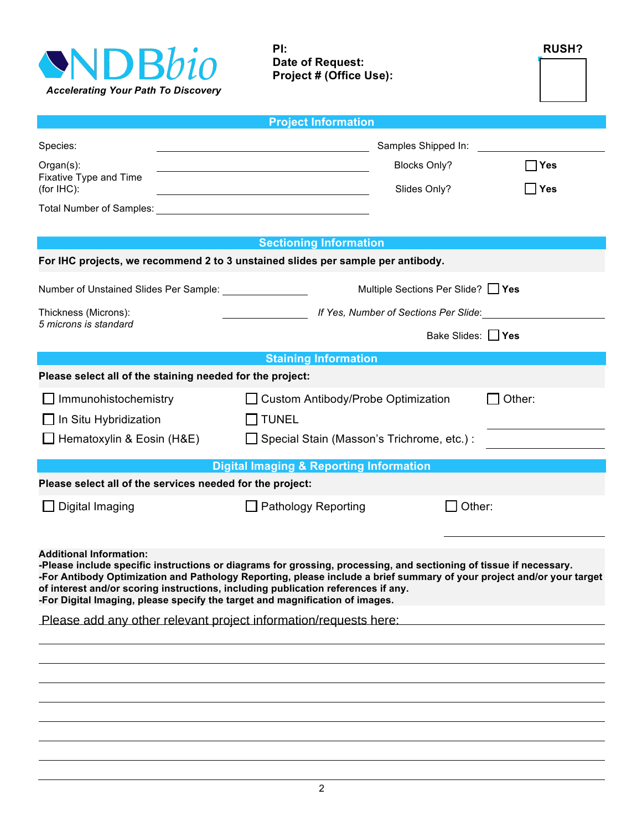

**PI: RUSH? Date of Request:**

**Project # (Office Use):** 

|                                                                                                                | <b>Project Information</b>                                                                                                                                                                                                                                                                                                       |                                       |  |  |
|----------------------------------------------------------------------------------------------------------------|----------------------------------------------------------------------------------------------------------------------------------------------------------------------------------------------------------------------------------------------------------------------------------------------------------------------------------|---------------------------------------|--|--|
| Species:                                                                                                       | Samples Shipped In:                                                                                                                                                                                                                                                                                                              |                                       |  |  |
| Organ(s):                                                                                                      | <b>Blocks Only?</b>                                                                                                                                                                                                                                                                                                              | ∣Yes                                  |  |  |
| Fixative Type and Time<br>(for IHC):                                                                           | Slides Only?<br><u> 1980 - Johann Barn, mars ann an t-Amhain Aonaich an t-Aonaich an t-Aonaich ann an t-Aonaich ann an t-Aonaich</u>                                                                                                                                                                                             | Yes                                   |  |  |
| Total Number of Samples:                                                                                       | <u> 1980 - Johann Barbara, martxa alemaniar arg</u>                                                                                                                                                                                                                                                                              |                                       |  |  |
|                                                                                                                |                                                                                                                                                                                                                                                                                                                                  |                                       |  |  |
|                                                                                                                | <b>Sectioning Information</b><br>For IHC projects, we recommend 2 to 3 unstained slides per sample per antibody.                                                                                                                                                                                                                 |                                       |  |  |
| Number of Unstained Slides Per Sample: [1989] Mumber of Unstained Slides Per Sample:                           | Multiple Sections Per Slide? [ Yes                                                                                                                                                                                                                                                                                               |                                       |  |  |
| Thickness (Microns):                                                                                           |                                                                                                                                                                                                                                                                                                                                  | If Yes, Number of Sections Per Slide: |  |  |
| 5 microns is standard                                                                                          | Bake Slides: 1 Yes                                                                                                                                                                                                                                                                                                               |                                       |  |  |
|                                                                                                                | <b>Staining Information</b>                                                                                                                                                                                                                                                                                                      |                                       |  |  |
| Please select all of the staining needed for the project:                                                      |                                                                                                                                                                                                                                                                                                                                  |                                       |  |  |
| $\Box$ Immunohistochemistry<br>$\Box$ In Situ Hybridization                                                    | □ Custom Antibody/Probe Optimization<br>$\Box$ TUNEL                                                                                                                                                                                                                                                                             | Other:                                |  |  |
| $\Box$ Hematoxylin & Eosin (H&E)                                                                               | □ Special Stain (Masson's Trichrome, etc.) :                                                                                                                                                                                                                                                                                     |                                       |  |  |
|                                                                                                                | <b>Digital Imaging &amp; Reporting Information</b>                                                                                                                                                                                                                                                                               |                                       |  |  |
| Please select all of the services needed for the project:                                                      |                                                                                                                                                                                                                                                                                                                                  |                                       |  |  |
| $\Box$ Digital Imaging                                                                                         | $\Box$ Pathology Reporting<br>$\Box$                                                                                                                                                                                                                                                                                             | Other:                                |  |  |
| <b>Additional Information:</b><br>-For Digital Imaging, please specify the target and magnification of images. | -Please include specific instructions or diagrams for grossing, processing, and sectioning of tissue if necessary.<br>-For Antibody Optimization and Pathology Reporting, please include a brief summary of your project and/or your target<br>of interest and/or scoring instructions, including publication references if any. |                                       |  |  |
| Please add any other relevant project information/requests here:                                               |                                                                                                                                                                                                                                                                                                                                  |                                       |  |  |
|                                                                                                                |                                                                                                                                                                                                                                                                                                                                  |                                       |  |  |
|                                                                                                                |                                                                                                                                                                                                                                                                                                                                  |                                       |  |  |
|                                                                                                                |                                                                                                                                                                                                                                                                                                                                  |                                       |  |  |
|                                                                                                                |                                                                                                                                                                                                                                                                                                                                  |                                       |  |  |
|                                                                                                                |                                                                                                                                                                                                                                                                                                                                  |                                       |  |  |